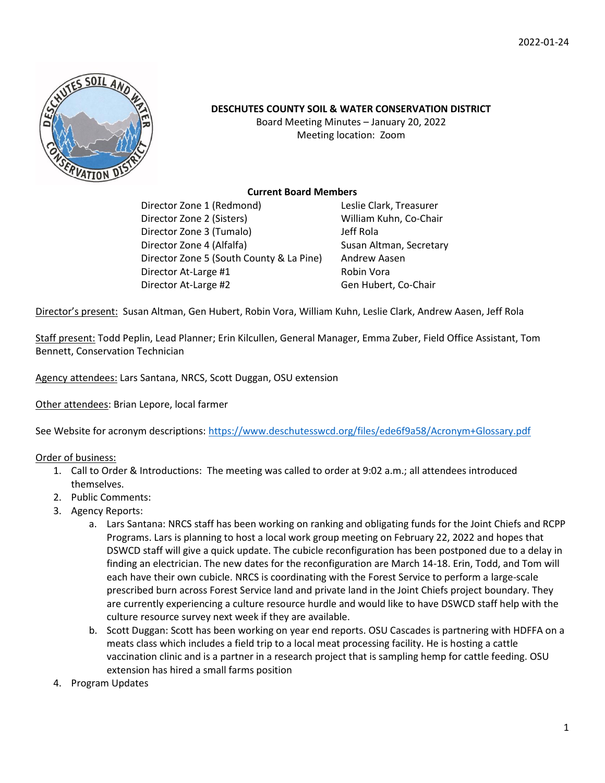

### **DESCHUTES COUNTY SOIL & WATER CONSERVATION DISTRICT**

Board Meeting Minutes – January 20, 2022 Meeting location: Zoom

#### **Current Board Members**

Director Zone 1 (Redmond) Leslie Clark, Treasurer Director Zone 2 (Sisters) William Kuhn, Co-Chair Director Zone 3 (Tumalo) Jeff Rola Director Zone 4 (Alfalfa) Susan Altman, Secretary Director Zone 5 (South County & La Pine) Andrew Aasen Director At-Large #1 Robin Vora Director At-Large #2 Gen Hubert, Co-Chair

Director's present: Susan Altman, Gen Hubert, Robin Vora, William Kuhn, Leslie Clark, Andrew Aasen, Jeff Rola

Staff present: Todd Peplin, Lead Planner; Erin Kilcullen, General Manager, Emma Zuber, Field Office Assistant, Tom Bennett, Conservation Technician

Agency attendees: Lars Santana, NRCS, Scott Duggan, OSU extension

Other attendees: Brian Lepore, local farmer

See Website for acronym descriptions:<https://www.deschutesswcd.org/files/ede6f9a58/Acronym+Glossary.pdf>

#### Order of business:

- 1. Call to Order & Introductions: The meeting was called to order at 9:02 a.m.; all attendees introduced themselves.
- 2. Public Comments:
- 3. Agency Reports:
	- a. Lars Santana: NRCS staff has been working on ranking and obligating funds for the Joint Chiefs and RCPP Programs. Lars is planning to host a local work group meeting on February 22, 2022 and hopes that DSWCD staff will give a quick update. The cubicle reconfiguration has been postponed due to a delay in finding an electrician. The new dates for the reconfiguration are March 14-18. Erin, Todd, and Tom will each have their own cubicle. NRCS is coordinating with the Forest Service to perform a large-scale prescribed burn across Forest Service land and private land in the Joint Chiefs project boundary. They are currently experiencing a culture resource hurdle and would like to have DSWCD staff help with the culture resource survey next week if they are available.
	- b. Scott Duggan: Scott has been working on year end reports. OSU Cascades is partnering with HDFFA on a meats class which includes a field trip to a local meat processing facility. He is hosting a cattle vaccination clinic and is a partner in a research project that is sampling hemp for cattle feeding. OSU extension has hired a small farms position
- 4. Program Updates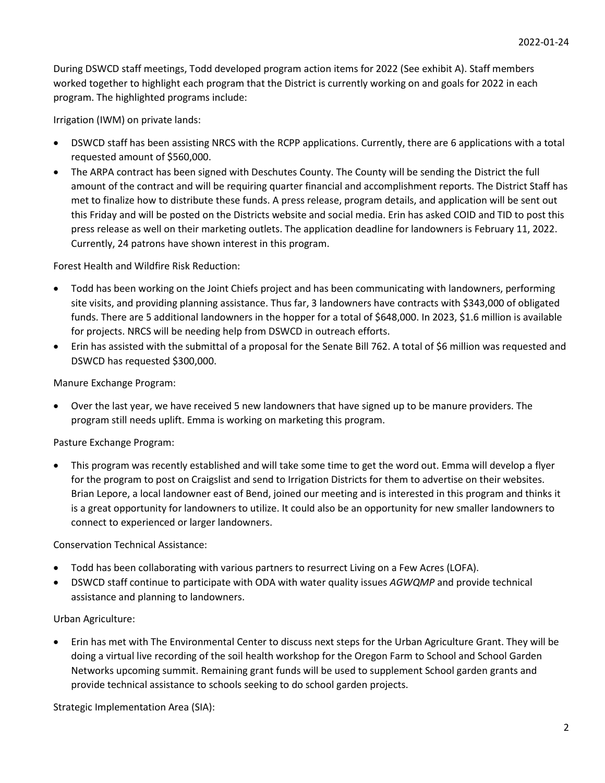During DSWCD staff meetings, Todd developed program action items for 2022 (See exhibit A). Staff members worked together to highlight each program that the District is currently working on and goals for 2022 in each program. The highlighted programs include:

Irrigation (IWM) on private lands:

- DSWCD staff has been assisting NRCS with the RCPP applications. Currently, there are 6 applications with a total requested amount of \$560,000.
- The ARPA contract has been signed with Deschutes County. The County will be sending the District the full amount of the contract and will be requiring quarter financial and accomplishment reports. The District Staff has met to finalize how to distribute these funds. A press release, program details, and application will be sent out this Friday and will be posted on the Districts website and social media. Erin has asked COID and TID to post this press release as well on their marketing outlets. The application deadline for landowners is February 11, 2022. Currently, 24 patrons have shown interest in this program.

Forest Health and Wildfire Risk Reduction:

- Todd has been working on the Joint Chiefs project and has been communicating with landowners, performing site visits, and providing planning assistance. Thus far, 3 landowners have contracts with \$343,000 of obligated funds. There are 5 additional landowners in the hopper for a total of \$648,000. In 2023, \$1.6 million is available for projects. NRCS will be needing help from DSWCD in outreach efforts.
- Erin has assisted with the submittal of a proposal for the Senate Bill 762. A total of \$6 million was requested and DSWCD has requested \$300,000.

Manure Exchange Program:

• Over the last year, we have received 5 new landowners that have signed up to be manure providers. The program still needs uplift. Emma is working on marketing this program.

Pasture Exchange Program:

• This program was recently established and will take some time to get the word out. Emma will develop a flyer for the program to post on Craigslist and send to Irrigation Districts for them to advertise on their websites. Brian Lepore, a local landowner east of Bend, joined our meeting and is interested in this program and thinks it is a great opportunity for landowners to utilize. It could also be an opportunity for new smaller landowners to connect to experienced or larger landowners.

Conservation Technical Assistance:

- Todd has been collaborating with various partners to resurrect Living on a Few Acres (LOFA).
- DSWCD staff continue to participate with ODA with water quality issues *AGWQMP* and provide technical assistance and planning to landowners.

#### Urban Agriculture:

• Erin has met with The Environmental Center to discuss next steps for the Urban Agriculture Grant. They will be doing a virtual live recording of the soil health workshop for the Oregon Farm to School and School Garden Networks upcoming summit. Remaining grant funds will be used to supplement School garden grants and provide technical assistance to schools seeking to do school garden projects.

Strategic Implementation Area (SIA):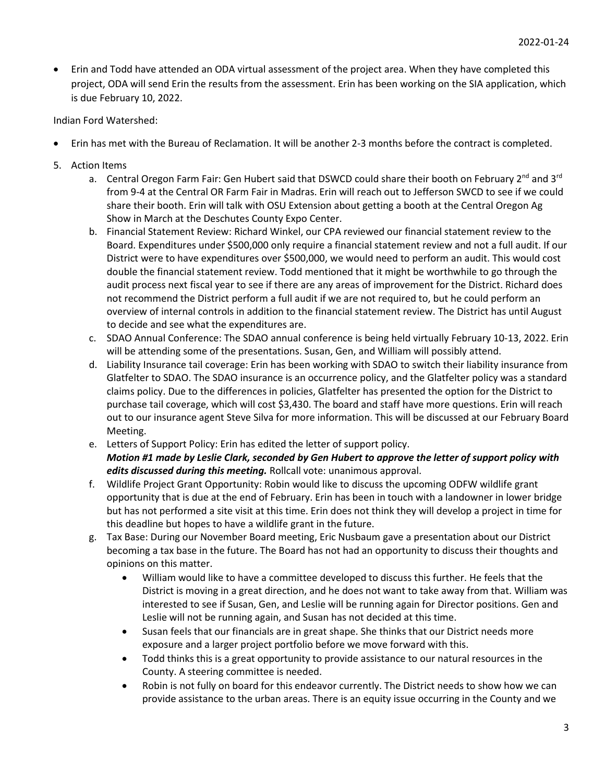• Erin and Todd have attended an ODA virtual assessment of the project area. When they have completed this project, ODA will send Erin the results from the assessment. Erin has been working on the SIA application, which is due February 10, 2022.

Indian Ford Watershed:

- Erin has met with the Bureau of Reclamation. It will be another 2-3 months before the contract is completed.
- 5. Action Items
	- a. Central Oregon Farm Fair: Gen Hubert said that DSWCD could share their booth on February 2<sup>nd</sup> and 3<sup>rd</sup> from 9-4 at the Central OR Farm Fair in Madras. Erin will reach out to Jefferson SWCD to see if we could share their booth. Erin will talk with OSU Extension about getting a booth at the Central Oregon Ag Show in March at the Deschutes County Expo Center.
	- b. Financial Statement Review: Richard Winkel, our CPA reviewed our financial statement review to the Board. Expenditures under \$500,000 only require a financial statement review and not a full audit. If our District were to have expenditures over \$500,000, we would need to perform an audit. This would cost double the financial statement review. Todd mentioned that it might be worthwhile to go through the audit process next fiscal year to see if there are any areas of improvement for the District. Richard does not recommend the District perform a full audit if we are not required to, but he could perform an overview of internal controls in addition to the financial statement review. The District has until August to decide and see what the expenditures are.
	- c. SDAO Annual Conference: The SDAO annual conference is being held virtually February 10-13, 2022. Erin will be attending some of the presentations. Susan, Gen, and William will possibly attend.
	- d. Liability Insurance tail coverage: Erin has been working with SDAO to switch their liability insurance from Glatfelter to SDAO. The SDAO insurance is an occurrence policy, and the Glatfelter policy was a standard claims policy. Due to the differences in policies, Glatfelter has presented the option for the District to purchase tail coverage, which will cost \$3,430. The board and staff have more questions. Erin will reach out to our insurance agent Steve Silva for more information. This will be discussed at our February Board Meeting.
	- e. Letters of Support Policy: Erin has edited the letter of support policy. *Motion #1 made by Leslie Clark, seconded by Gen Hubert to approve the letter of support policy with edits discussed during this meeting.* Rollcall vote: unanimous approval.
	- f. Wildlife Project Grant Opportunity: Robin would like to discuss the upcoming ODFW wildlife grant opportunity that is due at the end of February. Erin has been in touch with a landowner in lower bridge but has not performed a site visit at this time. Erin does not think they will develop a project in time for this deadline but hopes to have a wildlife grant in the future.
	- g. Tax Base: During our November Board meeting, Eric Nusbaum gave a presentation about our District becoming a tax base in the future. The Board has not had an opportunity to discuss their thoughts and opinions on this matter.
		- William would like to have a committee developed to discuss this further. He feels that the District is moving in a great direction, and he does not want to take away from that. William was interested to see if Susan, Gen, and Leslie will be running again for Director positions. Gen and Leslie will not be running again, and Susan has not decided at this time.
		- Susan feels that our financials are in great shape. She thinks that our District needs more exposure and a larger project portfolio before we move forward with this.
		- Todd thinks this is a great opportunity to provide assistance to our natural resources in the County. A steering committee is needed.
		- Robin is not fully on board for this endeavor currently. The District needs to show how we can provide assistance to the urban areas. There is an equity issue occurring in the County and we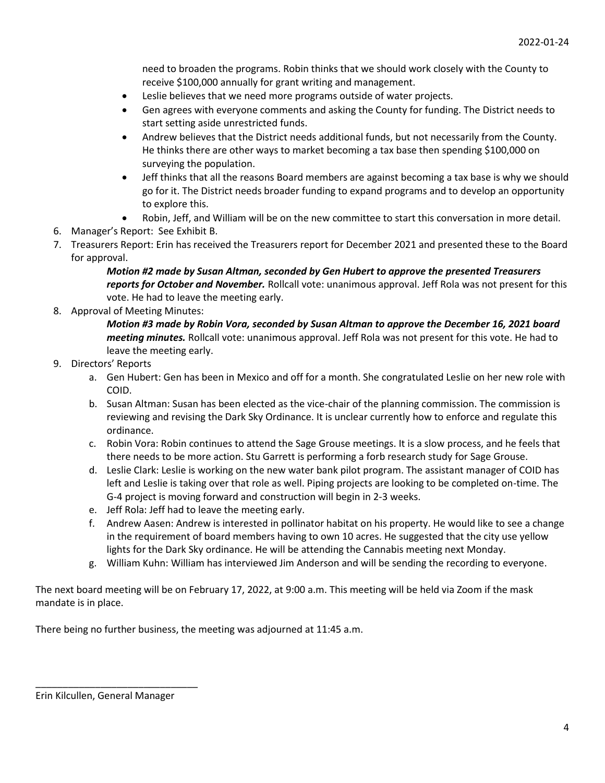need to broaden the programs. Robin thinks that we should work closely with the County to receive \$100,000 annually for grant writing and management.

- Leslie believes that we need more programs outside of water projects.
- Gen agrees with everyone comments and asking the County for funding. The District needs to start setting aside unrestricted funds.
- Andrew believes that the District needs additional funds, but not necessarily from the County. He thinks there are other ways to market becoming a tax base then spending \$100,000 on surveying the population.
- Jeff thinks that all the reasons Board members are against becoming a tax base is why we should go for it. The District needs broader funding to expand programs and to develop an opportunity to explore this.
- Robin, Jeff, and William will be on the new committee to start this conversation in more detail.
- 6. Manager's Report: See Exhibit B.
- 7. Treasurers Report: Erin has received the Treasurers report for December 2021 and presented these to the Board for approval.

*Motion #2 made by Susan Altman, seconded by Gen Hubert to approve the presented Treasurers reports for October and November.* Rollcall vote: unanimous approval. Jeff Rola was not present for this vote. He had to leave the meeting early.

8. Approval of Meeting Minutes:

*Motion #3 made by Robin Vora, seconded by Susan Altman to approve the December 16, 2021 board meeting minutes.* Rollcall vote: unanimous approval. Jeff Rola was not present for this vote. He had to leave the meeting early.

- 9. Directors' Reports
	- a. Gen Hubert: Gen has been in Mexico and off for a month. She congratulated Leslie on her new role with COID.
	- b. Susan Altman: Susan has been elected as the vice-chair of the planning commission. The commission is reviewing and revising the Dark Sky Ordinance. It is unclear currently how to enforce and regulate this ordinance.
	- c. Robin Vora: Robin continues to attend the Sage Grouse meetings. It is a slow process, and he feels that there needs to be more action. Stu Garrett is performing a forb research study for Sage Grouse.
	- d. Leslie Clark: Leslie is working on the new water bank pilot program. The assistant manager of COID has left and Leslie is taking over that role as well. Piping projects are looking to be completed on-time. The G-4 project is moving forward and construction will begin in 2-3 weeks.
	- e. Jeff Rola: Jeff had to leave the meeting early.
	- f. Andrew Aasen: Andrew is interested in pollinator habitat on his property. He would like to see a change in the requirement of board members having to own 10 acres. He suggested that the city use yellow lights for the Dark Sky ordinance. He will be attending the Cannabis meeting next Monday.
	- g. William Kuhn: William has interviewed Jim Anderson and will be sending the recording to everyone.

The next board meeting will be on February 17, 2022, at 9:00 a.m. This meeting will be held via Zoom if the mask mandate is in place.

There being no further business, the meeting was adjourned at 11:45 a.m.

\_\_\_\_\_\_\_\_\_\_\_\_\_\_\_\_\_\_\_\_\_\_\_\_\_\_\_\_\_\_

Erin Kilcullen, General Manager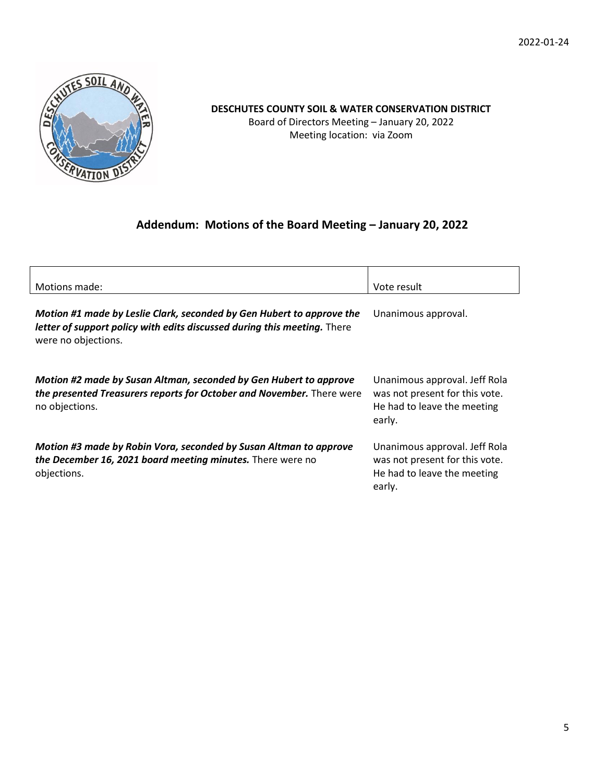2022-01-24



# **DESCHUTES COUNTY SOIL & WATER CONSERVATION DISTRICT**

Board of Directors Meeting – January 20, 2022 Meeting location: via Zoom

## **Addendum: Motions of the Board Meeting – January 20, 2022**

| Motions made:                                                                                                                                                            | Vote result                                                                                              |
|--------------------------------------------------------------------------------------------------------------------------------------------------------------------------|----------------------------------------------------------------------------------------------------------|
| Motion #1 made by Leslie Clark, seconded by Gen Hubert to approve the<br>letter of support policy with edits discussed during this meeting. There<br>were no objections. | Unanimous approval.                                                                                      |
| Motion #2 made by Susan Altman, seconded by Gen Hubert to approve<br>the presented Treasurers reports for October and November. There were<br>no objections.             | Unanimous approval. Jeff Rola<br>was not present for this vote.<br>He had to leave the meeting<br>early. |
| Motion #3 made by Robin Vora, seconded by Susan Altman to approve<br>the December 16, 2021 board meeting minutes. There were no<br>objections.                           | Unanimous approval. Jeff Rola<br>was not present for this vote.<br>He had to leave the meeting<br>early. |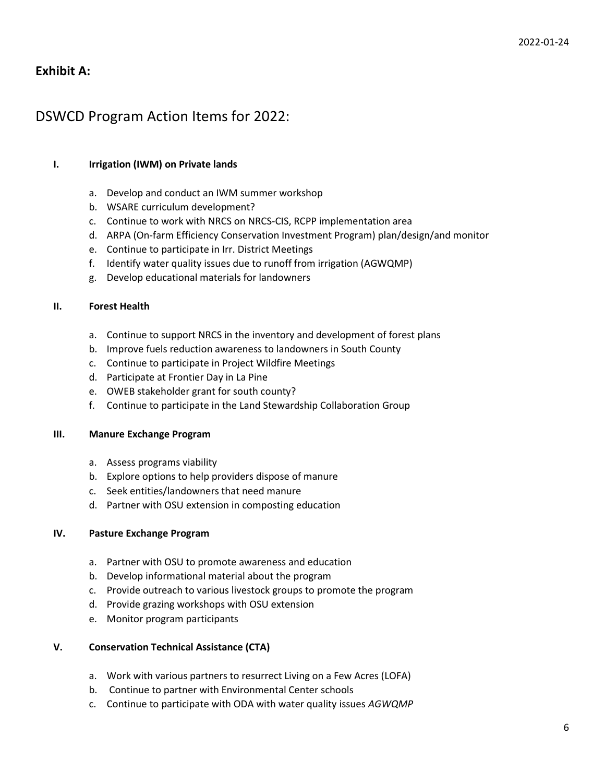## **Exhibit A:**

## DSWCD Program Action Items for 2022:

#### **I. Irrigation (IWM) on Private lands**

- a. Develop and conduct an IWM summer workshop
- b. WSARE curriculum development?
- c. Continue to work with NRCS on NRCS-CIS, RCPP implementation area
- d. ARPA (On-farm Efficiency Conservation Investment Program) plan/design/and monitor
- e. Continue to participate in Irr. District Meetings
- f. Identify water quality issues due to runoff from irrigation (AGWQMP)
- g. Develop educational materials for landowners

#### **II. Forest Health**

- a. Continue to support NRCS in the inventory and development of forest plans
- b. Improve fuels reduction awareness to landowners in South County
- c. Continue to participate in Project Wildfire Meetings
- d. Participate at Frontier Day in La Pine
- e. OWEB stakeholder grant for south county?
- f. Continue to participate in the Land Stewardship Collaboration Group

#### **III. Manure Exchange Program**

- a. Assess programs viability
- b. Explore options to help providers dispose of manure
- c. Seek entities/landowners that need manure
- d. Partner with OSU extension in composting education

#### **IV. Pasture Exchange Program**

- a. Partner with OSU to promote awareness and education
- b. Develop informational material about the program
- c. Provide outreach to various livestock groups to promote the program
- d. Provide grazing workshops with OSU extension
- e. Monitor program participants

#### **V. Conservation Technical Assistance (CTA)**

- a. Work with various partners to resurrect Living on a Few Acres (LOFA)
- b. Continue to partner with Environmental Center schools
- c. Continue to participate with ODA with water quality issues *AGWQMP*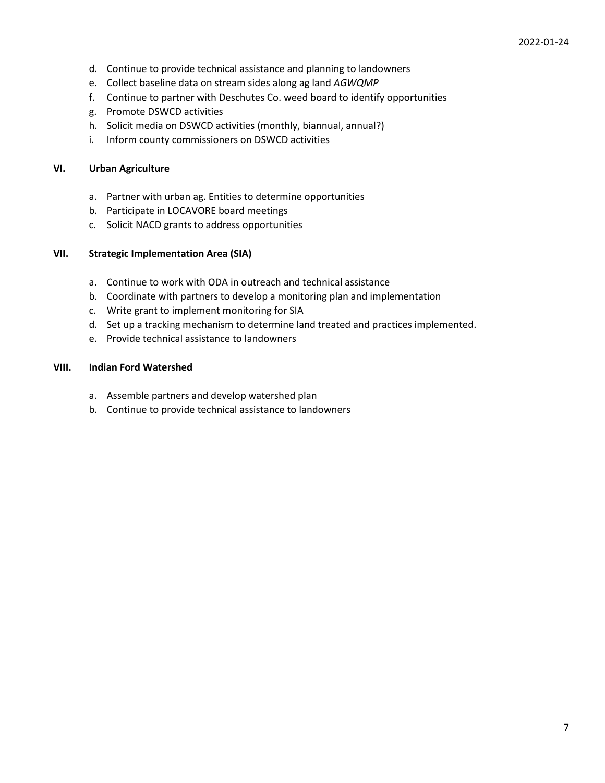- d. Continue to provide technical assistance and planning to landowners
- e. Collect baseline data on stream sides along ag land *AGWQMP*
- f. Continue to partner with Deschutes Co. weed board to identify opportunities
- g. Promote DSWCD activities
- h. Solicit media on DSWCD activities (monthly, biannual, annual?)
- i. Inform county commissioners on DSWCD activities

#### **VI. Urban Agriculture**

- a. Partner with urban ag. Entities to determine opportunities
- b. Participate in LOCAVORE board meetings
- c. Solicit NACD grants to address opportunities

#### **VII. Strategic Implementation Area (SIA)**

- a. Continue to work with ODA in outreach and technical assistance
- b. Coordinate with partners to develop a monitoring plan and implementation
- c. Write grant to implement monitoring for SIA
- d. Set up a tracking mechanism to determine land treated and practices implemented.
- e. Provide technical assistance to landowners

#### **VIII. Indian Ford Watershed**

- a. Assemble partners and develop watershed plan
- b. Continue to provide technical assistance to landowners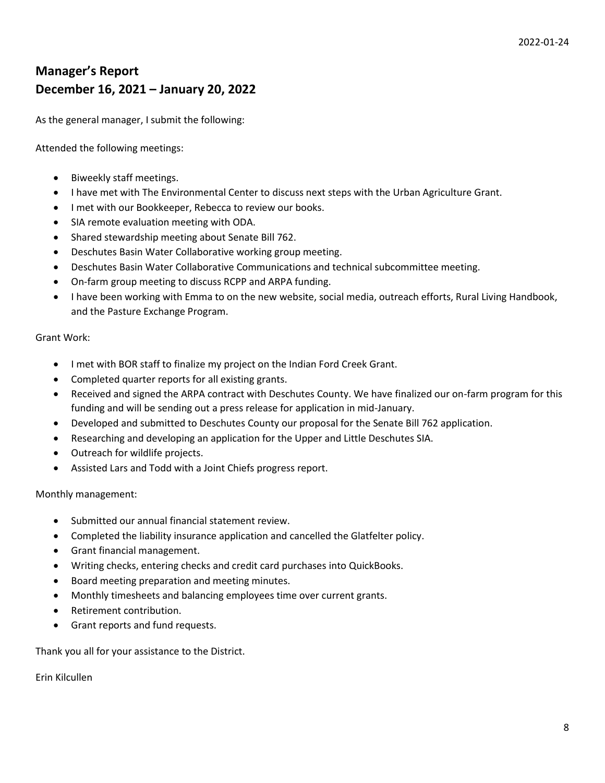## **Manager's Report December 16, 2021 – January 20, 2022**

As the general manager, I submit the following:

Attended the following meetings:

- Biweekly staff meetings.
- I have met with The Environmental Center to discuss next steps with the Urban Agriculture Grant.
- I met with our Bookkeeper, Rebecca to review our books.
- SIA remote evaluation meeting with ODA.
- Shared stewardship meeting about Senate Bill 762.
- Deschutes Basin Water Collaborative working group meeting.
- Deschutes Basin Water Collaborative Communications and technical subcommittee meeting.
- On-farm group meeting to discuss RCPP and ARPA funding.
- I have been working with Emma to on the new website, social media, outreach efforts, Rural Living Handbook, and the Pasture Exchange Program.

#### Grant Work:

- I met with BOR staff to finalize my project on the Indian Ford Creek Grant.
- Completed quarter reports for all existing grants.
- Received and signed the ARPA contract with Deschutes County. We have finalized our on-farm program for this funding and will be sending out a press release for application in mid-January.
- Developed and submitted to Deschutes County our proposal for the Senate Bill 762 application.
- Researching and developing an application for the Upper and Little Deschutes SIA.
- Outreach for wildlife projects.
- Assisted Lars and Todd with a Joint Chiefs progress report.

Monthly management:

- Submitted our annual financial statement review.
- Completed the liability insurance application and cancelled the Glatfelter policy.
- Grant financial management.
- Writing checks, entering checks and credit card purchases into QuickBooks.
- Board meeting preparation and meeting minutes.
- Monthly timesheets and balancing employees time over current grants.
- Retirement contribution.
- Grant reports and fund requests.

Thank you all for your assistance to the District.

Erin Kilcullen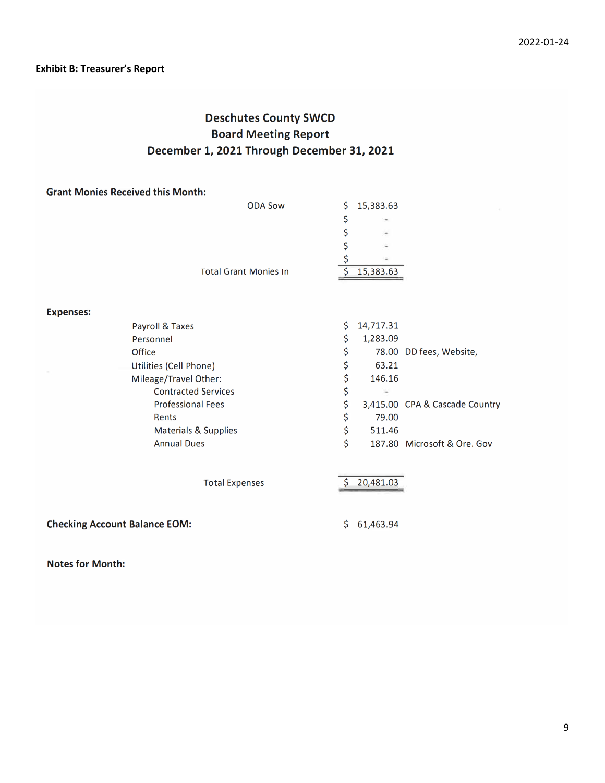### **Exhibit B: Treasurer's Report**

## **Deschutes County SWCD Board Meeting Report** December 1, 2021 Through December 31, 2021

| <b>Grant Monies Received this Month:</b> |     |           |                                |
|------------------------------------------|-----|-----------|--------------------------------|
| <b>ODA Sow</b>                           | \$  | 15,383.63 |                                |
|                                          | \$  |           |                                |
|                                          | \$  |           |                                |
|                                          | \$  |           |                                |
|                                          | \$  |           |                                |
| <b>Total Grant Monies In</b>             | \$  | 15,383.63 |                                |
|                                          |     |           |                                |
| <b>Expenses:</b>                         |     |           |                                |
| Payroll & Taxes                          | \$  | 14,717.31 |                                |
| Personnel                                | \$  | 1,283.09  |                                |
| Office                                   | \$  |           | 78.00 DD fees, Website,        |
| Utilities (Cell Phone)                   | \$  | 63.21     |                                |
| Mileage/Travel Other:                    | \$  | 146.16    |                                |
| <b>Contracted Services</b>               | \$  |           |                                |
| <b>Professional Fees</b>                 | \$  |           | 3,415.00 CPA & Cascade Country |
| Rents                                    | \$  | 79.00     |                                |
| <b>Materials &amp; Supplies</b>          | \$  | 511.46    |                                |
| <b>Annual Dues</b>                       | Ś   |           | 187.80 Microsoft & Ore. Gov    |
| <b>Total Expenses</b>                    | \$  | 20,481.03 |                                |
| <b>Checking Account Balance EOM:</b>     | \$. | 61,463.94 |                                |

**Notes for Month:**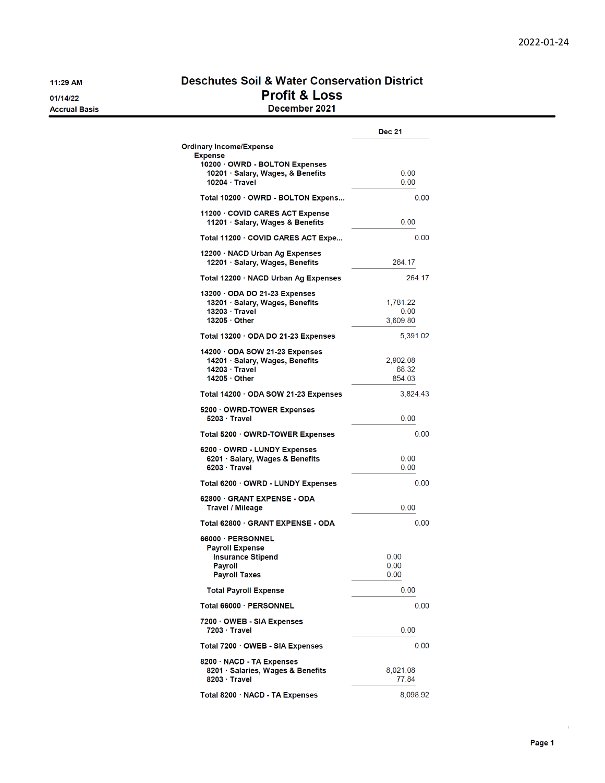11:29 AM 01/14/22

**Accrual Basis** 

### **Deschutes Soil & Water Conservation District Profit & Loss** December 2021

|                                                                                                               | <b>Dec 21</b>                |
|---------------------------------------------------------------------------------------------------------------|------------------------------|
| Ordinary Income/Expense<br><b>Expense</b>                                                                     |                              |
| 10200 · OWRD - BOLTON Expenses<br>10201 · Salary, Wages, & Benefits<br>$10204 \cdot$ Travel                   | 0.00<br>0.00                 |
| Total 10200 OWRD - BOLTON Expens                                                                              | 0.00                         |
| 11200 · COVID CARES ACT Expense<br>11201 · Salary, Wages & Benefits                                           | 0.00                         |
| Total 11200 COVID CARES ACT Expe                                                                              | 0.00                         |
| 12200 · NACD Urban Ag Expenses<br>12201 · Salary, Wages, Benefits                                             | 264.17                       |
| Total 12200 · NACD Urban Ag Expenses                                                                          | 264.17                       |
| 13200 ODA DO 21-23 Expenses<br>13201 · Salary, Wages, Benefits<br>$13203 \cdot$ Travel<br>$13205 \cdot$ Other | 1,781.22<br>0.00<br>3,609.80 |
| Total 13200 ODA DO 21-23 Expenses                                                                             | 5,391.02                     |
| 14200 · ODA SOW 21-23 Expenses<br>14201 · Salary, Wages, Benefits<br>$14203 \cdot$ Travel<br>14205 · Other    | 2,902.08<br>68.32<br>854.03  |
| Total 14200 · ODA SOW 21-23 Expenses                                                                          | 3,824.43                     |
| 5200 OWRD-TOWER Expenses<br>$5203 \cdot$ Travel                                                               | 0.00                         |
| Total 5200 OWRD-TOWER Expenses                                                                                | 0.00                         |
| 6200 · OWRD - LUNDY Expenses<br>6201 · Salary, Wages & Benefits<br>$6203 \cdot$ Travel                        | 0.00<br>0.00                 |
| Total 6200 OWRD - LUNDY Expenses                                                                              | 0.00                         |
| 62800 GRANT EXPENSE - ODA<br><b>Travel / Mileage</b>                                                          | 0.00                         |
| Total 62800 GRANT EXPENSE - ODA                                                                               | 0.00                         |
| 66000 PERSONNEL<br><b>Payroll Expense</b><br><b>Insurance Stipend</b><br>Payroll<br>Payroll Taxes             | 0.00<br>0.00<br>0.00         |
| <b>Total Payroll Expense</b>                                                                                  | 0.00                         |
| Total 66000 · PERSONNEL                                                                                       | 0.00                         |
| 7200 OWEB - SIA Expenses<br>7203 · Travel                                                                     | 0.00                         |
| Total 7200 OWEB - SIA Expenses                                                                                | 0.00                         |
| 8200 · NACD - TA Expenses<br>8201 · Salaries, Wages & Benefits<br>8203 · Travel                               | 8,021.08<br>77.84            |
| Total 8200 · NACD - TA Expenses                                                                               | 8,098.92                     |